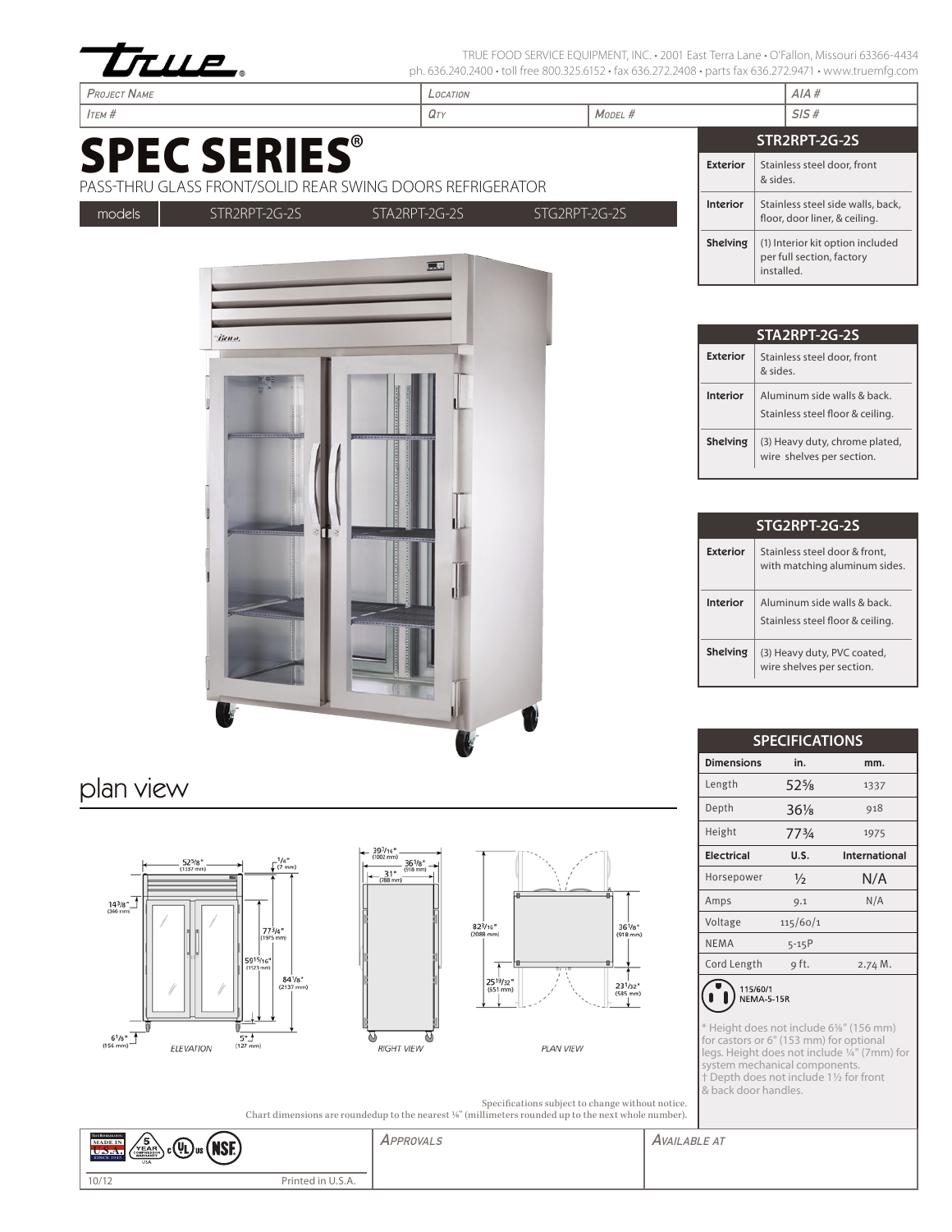

tjeno,

TRUE FOOD SERVICE EQUIPMENT, INC. • 2001 East Terra Lane • O'Fallon, Missouri 63366-4434 ph. 636.240.2400 · toll free 800.325.6152 · fax 636.272.2408 · parts fax 636.272.9471 · www.truemfg.com

| <b>PROJECT NAME</b>                                                              | LOCATION               |                                         |                 | AIA#                                                                        |
|----------------------------------------------------------------------------------|------------------------|-----------------------------------------|-----------------|-----------------------------------------------------------------------------|
| $I$ TEM $#$                                                                      | $M$ ODEL #<br>$Q_{TY}$ |                                         |                 | SIS#                                                                        |
|                                                                                  | STR2RPT-2G-2S          |                                         |                 |                                                                             |
| <b>SPEC SERIES®</b><br>PASS-THRU GLASS FRONT/SOLID REAR SWING DOORS REFRIGERATOR | <b>Exterior</b>        | Stainless steel door, front<br>& sides. |                 |                                                                             |
| models<br>STG2RPT-2G-2S<br>STR2RPT-2G-2S<br>STA2RPT-2G-2S                        |                        |                                         | <b>Interior</b> | Stainless steel side walls, back,<br>floor, door liner, & ceiling.          |
| 東                                                                                |                        |                                         |                 | (1) Interior kit option included<br>per full section, factory<br>installed. |

|          | STA2RPT-2G-2S                                                  |  |  |  |  |
|----------|----------------------------------------------------------------|--|--|--|--|
| Exterior | Stainless steel door, front<br>aniz &                          |  |  |  |  |
| Interior | Aluminum side walls & back<br>Stainless steel floor & ceiling. |  |  |  |  |
| Shelving | (3) Heavy duty, chrome plated,<br>wire shelves per section.    |  |  |  |  |

| STG2RPT-2G-2S |                                                                 |  |  |  |  |
|---------------|-----------------------------------------------------------------|--|--|--|--|
| Exterior      | Stainless steel door & front.<br>with matching aluminum sides.  |  |  |  |  |
| Interior      | Aluminum side walls & back.<br>Stainless steel floor & ceiling. |  |  |  |  |
| Shelving      | (3) Heavy duty, PVC coated,<br>wire shelves per section.        |  |  |  |  |

| <b>SPECIFICATIONS</b> |                 |               |  |  |  |
|-----------------------|-----------------|---------------|--|--|--|
| <b>Dimensions</b>     | in.             | mm.           |  |  |  |
| Length                | $52\%$          | 1337          |  |  |  |
| Depth                 | $36\frac{1}{8}$ | 918           |  |  |  |
| Height                | 773/4           | 1975          |  |  |  |
| <b>Electrical</b>     | U.S.            | International |  |  |  |
| Horsepower            | $\frac{1}{2}$   | N/A           |  |  |  |
| Amps                  | 9.1             | N/A           |  |  |  |
| Voltage               | 115/60/1        |               |  |  |  |
| <b>NEMA</b>           | 5-15P           |               |  |  |  |
| Cord Length           | 9 ft.           | 2.74 M.       |  |  |  |
| $\cdots$              |                 |               |  |  |  |



\* Height does not include 6%" (156 mm)<br>for castors or 6" (153 mm) for optional<br>legs. Height does not include  $\frac{1}{4}$ " (7mm) for<br>system mechanical components.<br>† Depth does not include 1½ for front<br>& back door handles.

|                                                                                                                  | Specifications subject to change without notice. |
|------------------------------------------------------------------------------------------------------------------|--------------------------------------------------|
| Chart dimensions are rounded to the nearest 1/ <sub>8</sub> " (millimeters rounded up to the next whole number). |                                                  |

| <b>THE REFRIGERATON</b><br>MADE IN<br>ี๖<br><b>NSE</b><br>$\sim$ (Ui)<br>VEAR<br>, c∖YLJus'<br>U.D.A<br><b>SINCE 1945</b><br><b>USA</b> |                                          | APPROVALS | <b>AVAILABLE AT</b> |
|-----------------------------------------------------------------------------------------------------------------------------------------|------------------------------------------|-----------|---------------------|
| 10/12                                                                                                                                   | Printed in<br>$\cup$ . $\cup$ . $\cap$ . |           |                     |

 $25^{19}/32$ <br>(651 mm)









36<sup>1</sup>/8<sup>\*</sup><br>(918 mm)

 $23^{1/32}$ <br>(585 mm)<br>↓